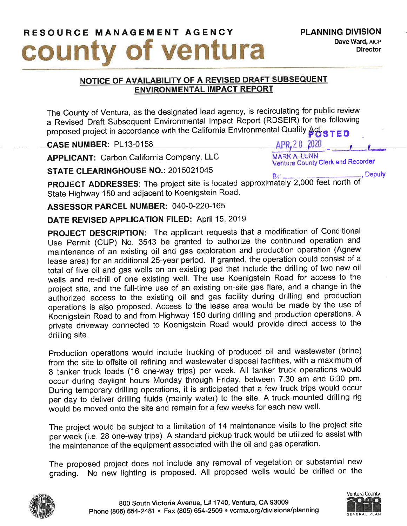## RESOURCE MANAGEMENT AGENCY PLANNING DIVISION COUnty of ventura

## NOTICE OF AVAILABILITY OF A REVISED DRAFT SUBSEQUENT **ENVIRONMENTAL IMPACT REPORT**

The County of Ventura, as the designated lead agency, is recirculating for public review a Revised Draft Subsequent Environmental lmpact Report (RDSEIR) for the following proposed project in accordance with the California Environmental Quality  $\beta_{0.5}^{\text{th}}$  s T E D

 $\text{CASE NUMBER: } P113-0158$ <br>APPLICANT: Carbon California Company. LLC MARK A. LUNN APPLICANT: Carbon California Company, LLC

STATE CLEARINGHOUSE NO.: 2015021045

BV pROJECT ADDRESSES: The project site is located approximately 2,000 feet north of State Highway 150 and adjacent to Koenigstein Road.

ASSESSOR PARCEL NUMBER: 040-0-220-165

DATE REVISED APPLICATION FILED: April 15, 2019

pROJECT DESCRIPTION: The applicant requests that a modification of Conditional Use permit (CUP) No. 3543 be granted to authorize the continued operation and maintenance of an existing oil and gas exploration and production operation (Agnew lease area) for an additional 25-year period. If granted, the operation could consist of a total of five oil and gas wells on an existing pad that include the drilling of two new oil wells and re-drill of one existing well. The use Koenigstein Road for access to the project site, and the full-time use of an existing on-site gas flare, and a change in the authorized access to the existing oil and gas facility during drilling and production operations is also proposed. Access to the lease area would be made by the use of Koenigstein Road to and from Highway 150 during drilling and production operations. A private driveway connected to Koenigstein Road would provide direct access to the drilling site.

Production operations would include trucking of produced oil and wastewater (brine) from the site to offsite oil refining and wastewater disposal facilities, with a maximum of B tanker truck loads (16 one-way trips) per week. All tanker truck operations would occur during daylight hours Monday through Friday, between 7:30 am and 6:30 pm. During temporary drilling operations, it is anticipated that a few truck trips would occur per diy to deliver drilling fluids (mainly water) to the site. A truck-mounted drilling rig would be moved onto the site and remain for a few weeks for each new well.

The project would be subject to a limitation of 14 maintenance visits to the project site per week (i.e. 28 one-way trips). A standard pickup truck would be utilized to assist with the maintenance of the equipment associated with the oil and gas operation.

The proposed project does not include any removal of vegetation or substantial new grading. No new lighting is proposed. All proposed wells would be drilled on the





Ventura County Clerk and Recorder , Deputy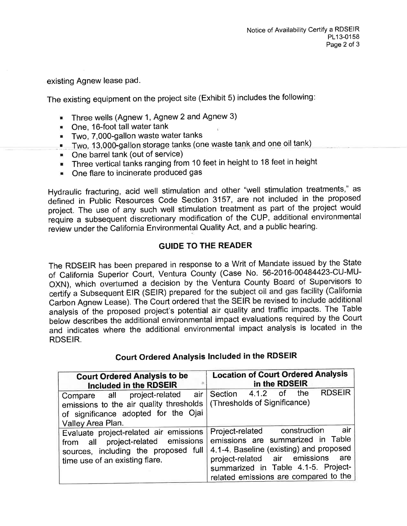existing Agnew lease pad.

The existing equipment on the project site (Exhibit 5) includes the following

- **Three wells (Agnew 1, Agnew 2 and Agnew 3)**
- **Dre, 16-foot tall water tank**
- **Two, 7,000-gallon waste water tanks**
- . Two, 13,000-gallon storage tanks (one waste tank and one oil tank)
- . One barrel tank (out of service)
- **Three vertical tanks ranging from 10 feet in height to 18 feet in height**
- **. One flare to incinerate produced gas**

Hydraulic fracturing, acid well stimulation and other "well stimulation treatments," as defined in Public Resources Code Section 3157, are not included in the proposed project. The use of any such well stimulation treatment as part of the project would require a subsequent discretionary modification of the CUP, additional environmental review under the California Environmental Quality Act, and a public hearing.

## GUIDE TO THE READER

The RDSEIR has been prepared in response to a Writ of Mandate issued by the State of California Superior Court, Ventura County (Case No. 56-2016-00484423-CU-MU-OXN), which overturned a decision by the Ventura County Board of Supervisors to certify a Subsequent EIR (SEIR) prepared for the subject oil and gas facility (California Carbon Agnew Lease). The Court ordered that the SEIR be revised to include additional analysis of the proposed project's potential air quality and traffic impacts. The Table below describes the additional environmental impact evaluations required by the Court and indicates where the additional environmental impact analysis is located in the RDSEIR.

## Gourt Ordered Analysis Included in the RDSEIR

| <b>Court Ordered Analysis to be</b><br>Included in the RDSEIR                                                                                                                        | <b>Location of Court Ordered Analysis</b><br>in the RDSEIR                                                                                                                                                                                  |
|--------------------------------------------------------------------------------------------------------------------------------------------------------------------------------------|---------------------------------------------------------------------------------------------------------------------------------------------------------------------------------------------------------------------------------------------|
| Compare all project-related air Section 4.1.2<br>emissions to the air quality thresholds   (Thresholds of Significance)<br>of significance adopted for the Ojai<br>Valley Area Plan. | <b>RDSEIR</b><br>the<br>o <sup>f</sup>                                                                                                                                                                                                      |
| Evaluate project-related air emissions<br>project-related emissions<br>from all<br>sources, including the proposed full<br>time use of an existing flare.                            | air<br>Project-related construction<br>emissions are summarized in Table<br>4.1-4. Baseline (existing) and proposed<br>project-related air emissions<br>are<br>summarized in Table 4.1-5. Project-<br>related emissions are compared to the |